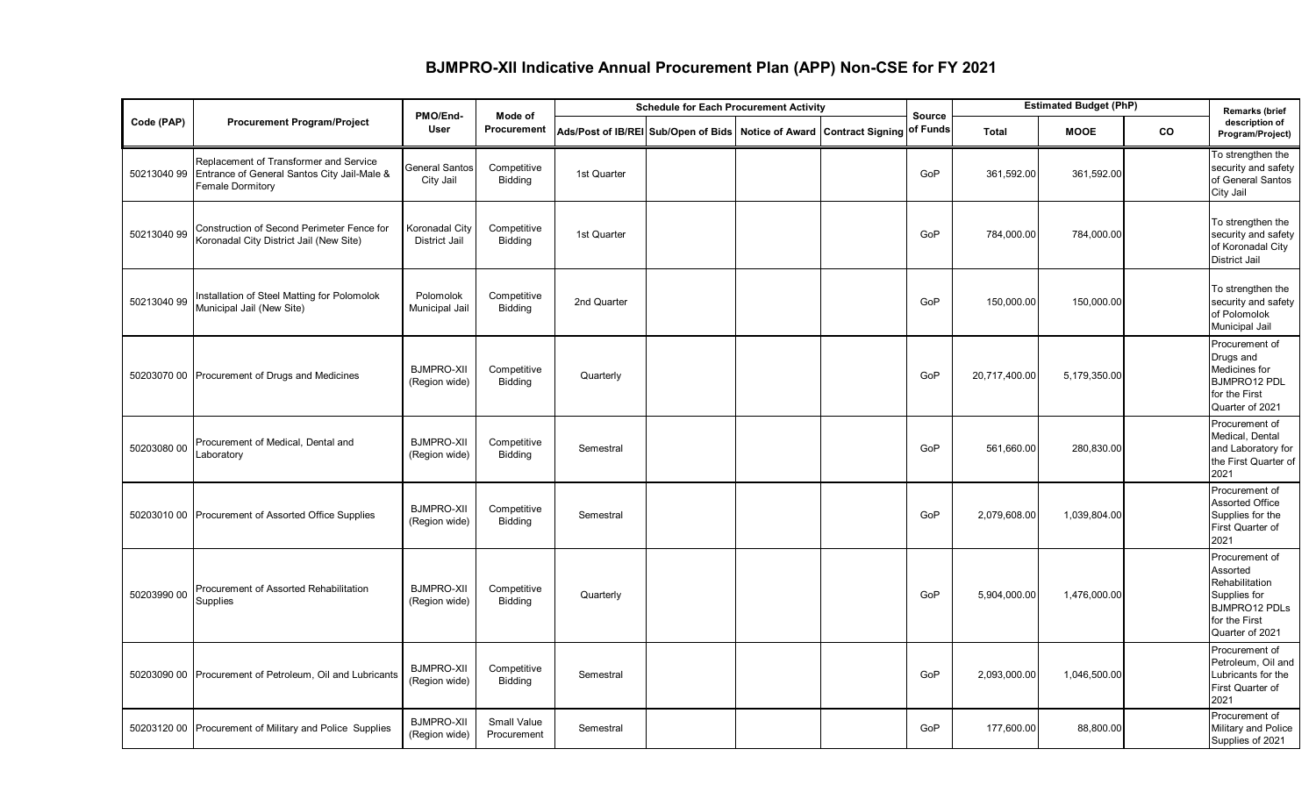## **BJMPRO-XII Indicative Annual Procurement Plan (APP) Non-CSE for FY 2021**

|             |                                                                                                                  | PMO/End-                               | Mode of                       | <b>Schedule for Each Procurement Activity</b>                        |  |  |  | <b>Source</b> | <b>Estimated Budget (PhP)</b> |              |           | <b>Remarks (brief</b>                                                                                                    |
|-------------|------------------------------------------------------------------------------------------------------------------|----------------------------------------|-------------------------------|----------------------------------------------------------------------|--|--|--|---------------|-------------------------------|--------------|-----------|--------------------------------------------------------------------------------------------------------------------------|
| Code (PAP)  | <b>Procurement Program/Project</b>                                                                               | <b>User</b>                            | Procurement                   | Ads/Post of IB/REI Sub/Open of Bids Notice of Award Contract Signing |  |  |  | of Funds      | <b>MOOE</b><br><b>Total</b>   |              | <b>CO</b> | description of<br>Program/Project)                                                                                       |
| 50213040 99 | Replacement of Transformer and Service<br>Entrance of General Santos City Jail-Male &<br><b>Female Dormitory</b> | <b>General Santos</b><br>City Jail     | Competitive<br>Bidding        | 1st Quarter                                                          |  |  |  | GoP           | 361,592.00                    | 361,592.00   |           | To strengthen the<br>security and safety<br>of General Santos<br>City Jail                                               |
| 50213040 99 | Construction of Second Perimeter Fence for<br>Koronadal City District Jail (New Site)                            | <b>Koronadal City</b><br>District Jail | Competitive<br><b>Bidding</b> | 1st Quarter                                                          |  |  |  | GoP           | 784,000.00                    | 784,000.00   |           | To strengthen the<br>security and safety<br>of Koronadal City<br><b>District Jail</b>                                    |
| 50213040 99 | Installation of Steel Matting for Polomolok<br>Municipal Jail (New Site)                                         | Polomolok<br>Municipal Jail            | Competitive<br><b>Bidding</b> | 2nd Quarter                                                          |  |  |  | GoP           | 150,000.00                    | 150,000.00   |           | To strengthen the<br>security and safety<br>of Polomolok<br><b>Municipal Jail</b>                                        |
|             | 50203070 00 Procurement of Drugs and Medicines                                                                   | <b>BJMPRO-XII</b><br>(Region wide)     | Competitive<br><b>Bidding</b> | Quarterly                                                            |  |  |  | GoP           | 20,717,400.00                 | 5,179,350.00 |           | Procurement of<br>Drugs and<br>Medicines for<br><b>BJMPRO12 PDL</b><br>for the First<br>Quarter of 2021                  |
| 50203080 00 | Procurement of Medical, Dental and<br>Laboratory                                                                 | <b>BJMPRO-XII</b><br>(Region wide)     | Competitive<br><b>Bidding</b> | Semestral                                                            |  |  |  | GoP           | 561,660.00                    | 280,830.00   |           | Procurement of<br>Medical, Dental<br>and Laboratory for<br>the First Quarter of<br>2021                                  |
|             | 50203010 00 Procurement of Assorted Office Supplies                                                              | <b>BJMPRO-XII</b><br>(Region wide)     | Competitive<br><b>Bidding</b> | Semestral                                                            |  |  |  | GoP           | 2,079,608.00                  | 1,039,804.00 |           | Procurement of<br><b>Assorted Office</b><br>Supplies for the<br>First Quarter of<br>2021                                 |
| 50203990 00 | Procurement of Assorted Rehabilitation<br>Supplies                                                               | <b>BJMPRO-XII</b><br>(Region wide)     | Competitive<br>Bidding        | Quarterly                                                            |  |  |  | GoP           | 5,904,000.00                  | 1,476,000.00 |           | Procurement of<br>Assorted<br>Rehabilitation<br>Supplies for<br><b>BJMPRO12 PDLs</b><br>for the First<br>Quarter of 2021 |
|             | 50203090 00 Procurement of Petroleum, Oil and Lubricants                                                         | <b>BJMPRO-XII</b><br>(Region wide)     | Competitive<br><b>Bidding</b> | Semestral                                                            |  |  |  | GoP           | 2,093,000.00                  | 1,046,500.00 |           | Procurement of<br>Petroleum, Oil and<br>Lubricants for the<br>First Quarter of<br>2021                                   |
|             | 50203120 00 Procurement of Military and Police Supplies                                                          | <b>BJMPRO-XII</b><br>(Region wide)     | Small Value<br>Procurement    | Semestral                                                            |  |  |  | GoP           | 177,600.00                    | 88,800.00    |           | Procurement of<br>Military and Police<br>Supplies of 2021                                                                |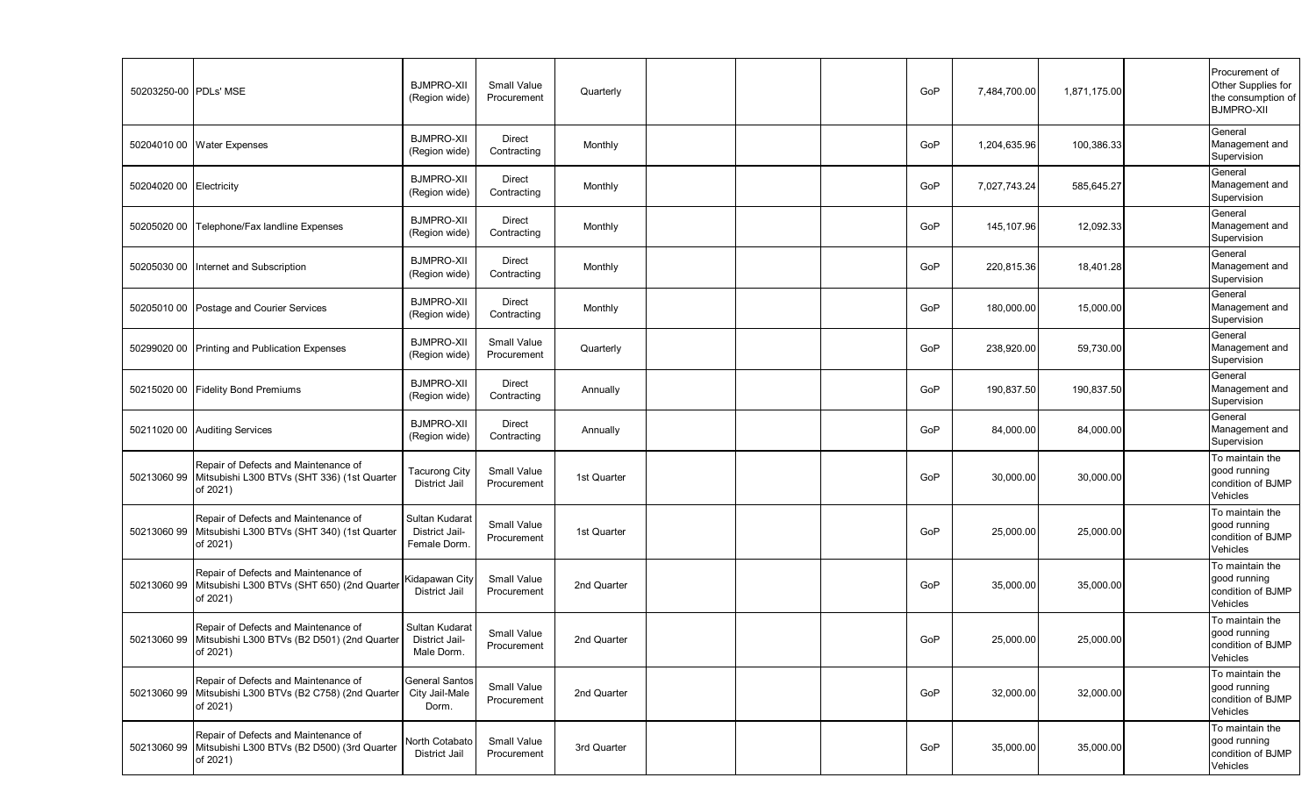| 50203250-00 PDLs' MSE |                                                                                                             | <b>BJMPRO-XII</b><br>(Region wide)              | <b>Small Value</b><br>Procurement | Quarterly   |  | GoP | 7,484,700.00 | 1,871,175.00 | Procurement of<br>Other Supplies for<br>the consumption of<br><b>BJMPRO-XII</b> |
|-----------------------|-------------------------------------------------------------------------------------------------------------|-------------------------------------------------|-----------------------------------|-------------|--|-----|--------------|--------------|---------------------------------------------------------------------------------|
|                       | 50204010 00 Water Expenses                                                                                  | <b>BJMPRO-XII</b><br>(Region wide)              | Direct<br>Contracting             | Monthly     |  | GoP | 1,204,635.96 | 100,386.33   | General<br>Management and<br>Supervision                                        |
| 50204020 00           | Electricity                                                                                                 | <b>BJMPRO-XII</b><br>(Region wide)              | Direct<br>Contracting             | Monthly     |  | GoP | 7,027,743.24 | 585,645.27   | General<br>Management and<br>Supervision                                        |
| 50205020 00           | Telephone/Fax landline Expenses                                                                             | <b>BJMPRO-XII</b><br>(Region wide)              | Direct<br>Contracting             | Monthly     |  | GoP | 145,107.96   | 12,092.33    | General<br>Management and<br>Supervision                                        |
| 50205030 00           | Internet and Subscription                                                                                   | <b>BJMPRO-XII</b><br>(Region wide)              | Direct<br>Contracting             | Monthly     |  | GoP | 220,815.36   | 18,401.28    | General<br>Management and<br>Supervision                                        |
| 50205010 00           | Postage and Courier Services                                                                                | <b>BJMPRO-XII</b><br>(Region wide)              | Direct<br>Contracting             | Monthly     |  | GoP | 180,000.00   | 15,000.00    | General<br>Management and<br>Supervision                                        |
| 50299020 00           | Printing and Publication Expenses                                                                           | <b>BJMPRO-XII</b><br>(Region wide)              | <b>Small Value</b><br>Procurement | Quarterly   |  | GoP | 238,920.00   | 59,730.00    | General<br>Management and<br>Supervision                                        |
| 50215020 00           | <b>Fidelity Bond Premiums</b>                                                                               | <b>BJMPRO-XII</b><br>(Region wide)              | Direct<br>Contracting             | Annually    |  | GoP | 190,837.50   | 190,837.50   | General<br>Management and<br>Supervision                                        |
|                       | 50211020 00 Auditing Services                                                                               | <b>BJMPRO-XII</b><br>(Region wide)              | Direct<br>Contracting             | Annually    |  | GoP | 84,000.00    | 84,000.00    | General<br>Management and<br>Supervision                                        |
| 50213060 99           | Repair of Defects and Maintenance of<br>Mitsubishi L300 BTVs (SHT 336) (1st Quarter<br>of 2021)             | Tacurong City<br>District Jail                  | <b>Small Value</b><br>Procurement | 1st Quarter |  | GoP | 30,000.00    | 30,000.00    | To maintain the<br>good running<br>condition of BJMP<br>Vehicles                |
| 50213060 99           | Repair of Defects and Maintenance of<br>Mitsubishi L300 BTVs (SHT 340) (1st Quarter<br>of 2021)             | Sultan Kudarat<br>District Jail-<br>Female Dorm | <b>Small Value</b><br>Procurement | 1st Quarter |  | GoP | 25,000.00    | 25,000.00    | To maintain the<br>good running<br>condition of BJMP<br>Vehicles                |
| 50213060 99           | Repair of Defects and Maintenance of<br>Mitsubishi L300 BTVs (SHT 650) (2nd Quarter<br>of 2021)             | Kidapawan City<br><b>District Jail</b>          | <b>Small Value</b><br>Procurement | 2nd Quarter |  | GoP | 35,000.00    | 35,000.00    | To maintain the<br>good running<br>condition of BJMP<br>Vehicles                |
|                       | Repair of Defects and Maintenance of<br>50213060 99 Mitsubishi L300 BTVs (B2 D501) (2nd Quarter<br>of 2021) | Sultan Kudarat<br>District Jail-<br>Male Dorm.  | Small Value<br>Procurement        | 2nd Quarter |  | GoP | 25,000.00    | 25,000.00    | To maintain the<br>good running<br>condition of BJMP<br>Vehicles                |
| 5021306099            | Repair of Defects and Maintenance of<br>Mitsubishi L300 BTVs (B2 C758) (2nd Quarter<br>of 2021)             | General Santos<br>City Jail-Male<br>Dorm.       | Small Value<br>Procurement        | 2nd Quarter |  | GoP | 32,000.00    | 32,000.00    | To maintain the<br>good running<br>condition of BJMP<br>Vehicles                |
| 5021306099            | Repair of Defects and Maintenance of<br>Mitsubishi L300 BTVs (B2 D500) (3rd Quarter<br>of 2021)             | North Cotabato<br>District Jail                 | <b>Small Value</b><br>Procurement | 3rd Quarter |  | GoP | 35,000.00    | 35,000.00    | To maintain the<br>good running<br>condition of BJMP<br>Vehicles                |